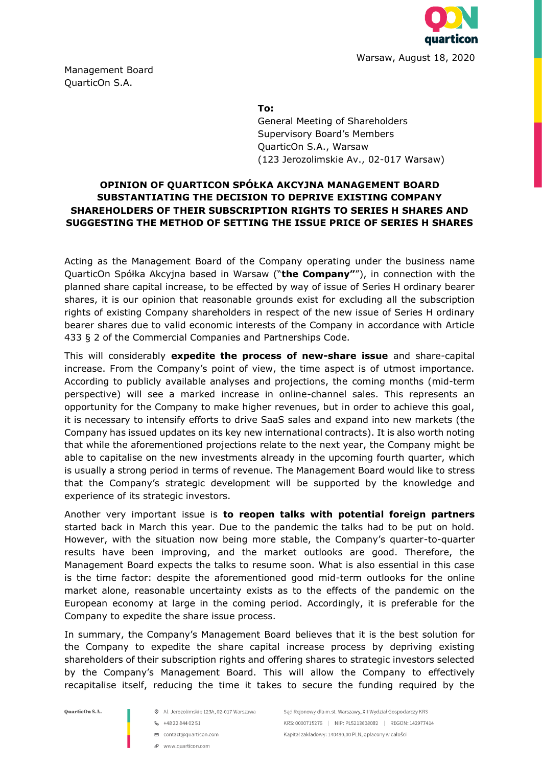

Management Board QuarticOn S.A.

**To:**

General Meeting of Shareholders Supervisory Board's Members QuarticOn S.A., Warsaw (123 Jerozolimskie Av., 02-017 Warsaw)

## **OPINION OF QUARTICON SPÓŁKA AKCYJNA MANAGEMENT BOARD SUBSTANTIATING THE DECISION TO DEPRIVE EXISTING COMPANY SHAREHOLDERS OF THEIR SUBSCRIPTION RIGHTS TO SERIES H SHARES AND SUGGESTING THE METHOD OF SETTING THE ISSUE PRICE OF SERIES H SHARES**

Acting as the Management Board of the Company operating under the business name QuarticOn Spółka Akcyjna based in Warsaw ("**the Company"**"), in connection with the planned share capital increase, to be effected by way of issue of Series H ordinary bearer shares, it is our opinion that reasonable grounds exist for excluding all the subscription rights of existing Company shareholders in respect of the new issue of Series H ordinary bearer shares due to valid economic interests of the Company in accordance with Article 433 § 2 of the Commercial Companies and Partnerships Code.

This will considerably **expedite the process of new-share issue** and share-capital increase. From the Company's point of view, the time aspect is of utmost importance. According to publicly available analyses and projections, the coming months (mid-term perspective) will see a marked increase in online-channel sales. This represents an opportunity for the Company to make higher revenues, but in order to achieve this goal, it is necessary to intensify efforts to drive SaaS sales and expand into new markets (the Company has issued updates on its key new international contracts). It is also worth noting that while the aforementioned projections relate to the next year, the Company might be able to capitalise on the new investments already in the upcoming fourth quarter, which is usually a strong period in terms of revenue. The Management Board would like to stress that the Company's strategic development will be supported by the knowledge and experience of its strategic investors.

Another very important issue is **to reopen talks with potential foreign partners** started back in March this year. Due to the pandemic the talks had to be put on hold. However, with the situation now being more stable, the Company's quarter-to-quarter results have been improving, and the market outlooks are good. Therefore, the Management Board expects the talks to resume soon. What is also essential in this case is the time factor: despite the aforementioned good mid-term outlooks for the online market alone, reasonable uncertainty exists as to the effects of the pandemic on the European economy at large in the coming period. Accordingly, it is preferable for the Company to expedite the share issue process.

In summary, the Company's Management Board believes that it is the best solution for the Company to expedite the share capital increase process by depriving existing shareholders of their subscription rights and offering shares to strategic investors selected by the Company's Management Board. This will allow the Company to effectively recapitalise itself, reducing the time it takes to secure the funding required by the

QuarticOn S.A.

- @ Al. Jerozolimskie 123A, 02-017 Warszawa
- 6 +48 22 844 02 51
- contact@quarticon.com
- P www.quarticon.com